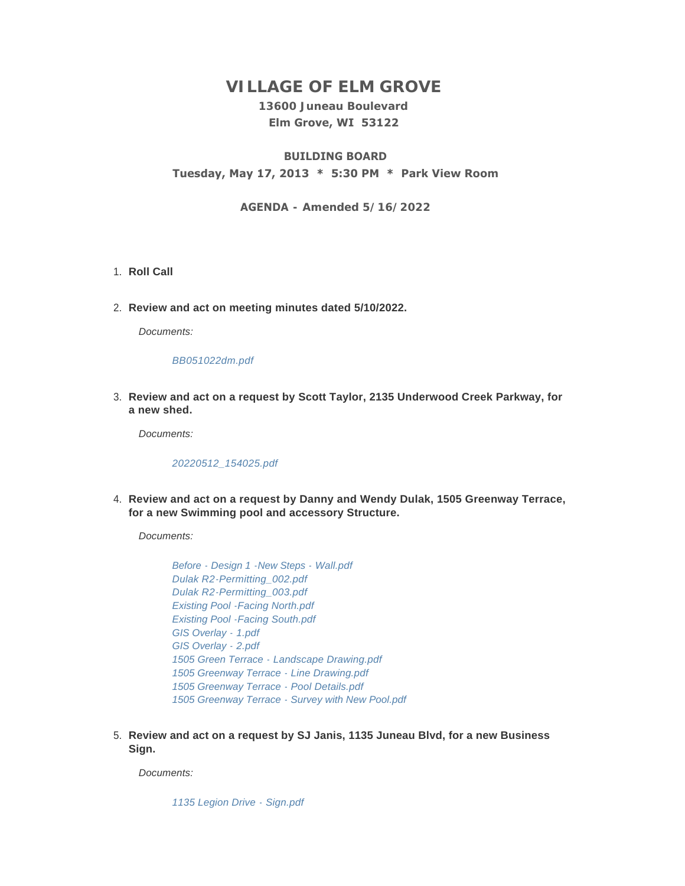# **VILLAGE OF ELM GROVE**

## **13600 Juneau Boulevard Elm Grove, WI 53122**

## **BUILDING BOARD Tuesday, May 17, 2013 \* 5:30 PM \* Park View Room**

#### **AGENDA - Amended 5/16/2022**

#### 1. Roll Call

**Review and act on meeting minutes dated 5/10/2022.** 2.

*Documents:*

#### *[BB051022dm.pdf](https://elmgrovewi.org/AgendaCenter/ViewFile/Item/11892?fileID=18993)*

**Review and act on a request by Scott Taylor, 2135 Underwood Creek Parkway, for**  3. **a new shed.** 

*Documents:*

*[20220512\\_154025.pdf](https://elmgrovewi.org/AgendaCenter/ViewFile/Item/11893?fileID=18994)*

**Review and act on a request by Danny and Wendy Dulak, 1505 Greenway Terrace,**  4. **for a new Swimming pool and accessory Structure.** 

*Documents:*

*[Before - Design 1 -New Steps - Wall.pdf](https://elmgrovewi.org/AgendaCenter/ViewFile/Item/11894?fileID=18995) [Dulak R2-Permitting\\_002.pdf](https://elmgrovewi.org/AgendaCenter/ViewFile/Item/11894?fileID=18996) [Dulak R2-Permitting\\_003.pdf](https://elmgrovewi.org/AgendaCenter/ViewFile/Item/11894?fileID=18997) [Existing Pool -Facing North.pdf](https://elmgrovewi.org/AgendaCenter/ViewFile/Item/11894?fileID=18998) [Existing Pool -Facing South.pdf](https://elmgrovewi.org/AgendaCenter/ViewFile/Item/11894?fileID=18999) [GIS Overlay - 1.pdf](https://elmgrovewi.org/AgendaCenter/ViewFile/Item/11894?fileID=19000) [GIS Overlay - 2.pdf](https://elmgrovewi.org/AgendaCenter/ViewFile/Item/11894?fileID=19001) [1505 Green Terrace - Landscape Drawing.pdf](https://elmgrovewi.org/AgendaCenter/ViewFile/Item/11894?fileID=19002) [1505 Greenway Terrace - Line Drawing.pdf](https://elmgrovewi.org/AgendaCenter/ViewFile/Item/11894?fileID=19003) [1505 Greenway Terrace - Pool Details.pdf](https://elmgrovewi.org/AgendaCenter/ViewFile/Item/11894?fileID=19004) [1505 Greenway Terrace - Survey with New Pool.pdf](https://elmgrovewi.org/AgendaCenter/ViewFile/Item/11894?fileID=19005)*

**Review and act on a request by SJ Janis, 1135 Juneau Blvd, for a new Business**  5. **Sign.** 

*Documents:*

*[1135 Legion Drive - Sign.pdf](https://elmgrovewi.org/AgendaCenter/ViewFile/Item/11916?fileID=19028)*